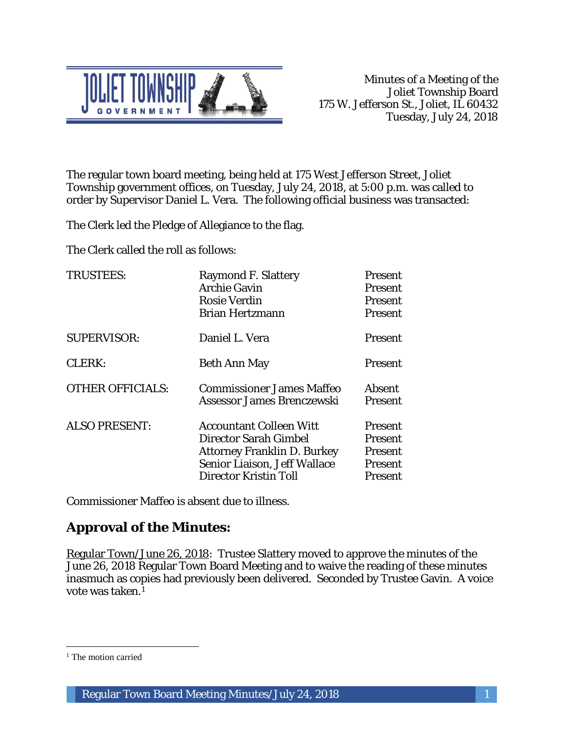

The regular town board meeting, being held at 175 West Jefferson Street, Joliet Township government offices, on Tuesday, July 24, 2018, at 5:00 p.m. was called to order by Supervisor Daniel L. Vera. The following official business was transacted:

The Clerk led the Pledge of Allegiance to the flag.

The Clerk called the roll as follows:

| <b>TRUSTEES:</b>        | <b>Raymond F. Slattery</b><br><b>Archie Gavin</b><br><b>Rosie Verdin</b><br><b>Brian Hertzmann</b>                                                                   | Present<br>Present<br>Present<br>Present                   |
|-------------------------|----------------------------------------------------------------------------------------------------------------------------------------------------------------------|------------------------------------------------------------|
| <b>SUPERVISOR:</b>      | Daniel L. Vera                                                                                                                                                       | Present                                                    |
| <b>CLERK:</b>           | <b>Beth Ann May</b>                                                                                                                                                  | Present                                                    |
| <b>OTHER OFFICIALS:</b> | <b>Commissioner James Maffeo</b><br>Assessor James Brenczewski                                                                                                       | <b>Absent</b><br>Present                                   |
| <b>ALSO PRESENT:</b>    | <b>Accountant Colleen Witt</b><br><b>Director Sarah Gimbel</b><br><b>Attorney Franklin D. Burkey</b><br>Senior Liaison, Jeff Wallace<br><b>Director Kristin Toll</b> | Present<br>Present<br><b>Present</b><br>Present<br>Present |

Commissioner Maffeo is absent due to illness.

# **Approval of the Minutes:**

Regular Town/June 26, 2018: Trustee Slattery moved to approve the minutes of the June 26, 2018 Regular Town Board Meeting and to waive the reading of these minutes inasmuch as copies had previously been delivered. Seconded by Trustee Gavin. A voice vote was taken.1

 $\overline{a}$ 

<sup>&</sup>lt;sup>1</sup> The motion carried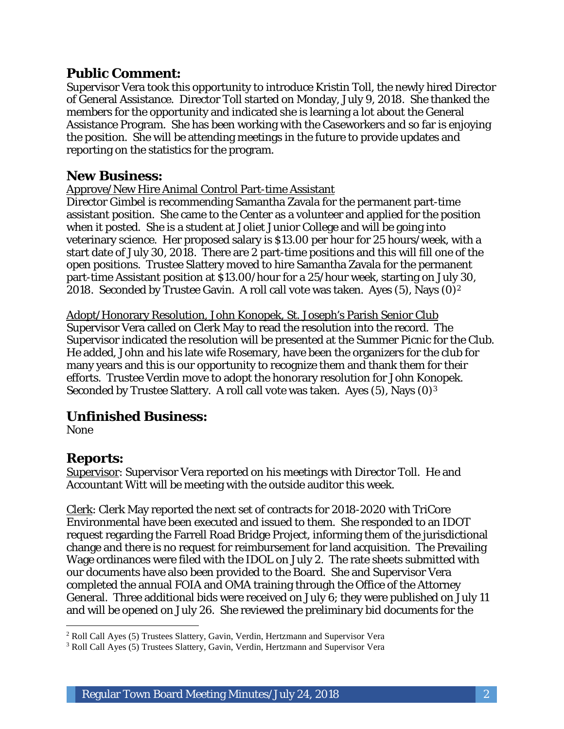### **Public Comment:**

Supervisor Vera took this opportunity to introduce Kristin Toll, the newly hired Director of General Assistance. Director Toll started on Monday, July 9, 2018. She thanked the members for the opportunity and indicated she is learning a lot about the General Assistance Program. She has been working with the Caseworkers and so far is enjoying the position. She will be attending meetings in the future to provide updates and reporting on the statistics for the program.

### **New Business:**

#### Approve/New Hire Animal Control Part-time Assistant

Director Gimbel is recommending Samantha Zavala for the permanent part-time assistant position. She came to the Center as a volunteer and applied for the position when it posted. She is a student at Joliet Junior College and will be going into veterinary science. Her proposed salary is \$13.00 per hour for 25 hours/week, with a start date of July 30, 2018. There are 2 part-time positions and this will fill one of the open positions. Trustee Slattery moved to hire Samantha Zavala for the permanent part-time Assistant position at \$13.00/hour for a 25/hour week, starting on July 30, 2018. Seconded by Trustee Gavin. A roll call vote was taken. Ayes  $(5)$ , Nays  $(0)^2$ 

Adopt/Honorary Resolution, John Konopek, St. Joseph's Parish Senior Club Supervisor Vera called on Clerk May to read the resolution into the record. The Supervisor indicated the resolution will be presented at the Summer Picnic for the Club. He added, John and his late wife Rosemary, have been the organizers for the club for many years and this is our opportunity to recognize them and thank them for their efforts. Trustee Verdin move to adopt the honorary resolution for John Konopek. Seconded by Trustee Slattery. A roll call vote was taken. Ayes (5), Nays (0)3

## **Unfinished Business:**

None

#### **Reports:**

Supervisor: Supervisor Vera reported on his meetings with Director Toll. He and Accountant Witt will be meeting with the outside auditor this week.

Clerk: Clerk May reported the next set of contracts for 2018-2020 with TriCore Environmental have been executed and issued to them. She responded to an IDOT request regarding the Farrell Road Bridge Project, informing them of the jurisdictional change and there is no request for reimbursement for land acquisition. The Prevailing Wage ordinances were filed with the IDOL on July 2. The rate sheets submitted with our documents have also been provided to the Board. She and Supervisor Vera completed the annual FOIA and OMA training through the Office of the Attorney General. Three additional bids were received on July 6; they were published on July 11 and will be opened on July 26. She reviewed the preliminary bid documents for the

I <sup>2</sup> Roll Call Ayes (5) Trustees Slattery, Gavin, Verdin, Hertzmann and Supervisor Vera

<sup>3</sup> Roll Call Ayes (5) Trustees Slattery, Gavin, Verdin, Hertzmann and Supervisor Vera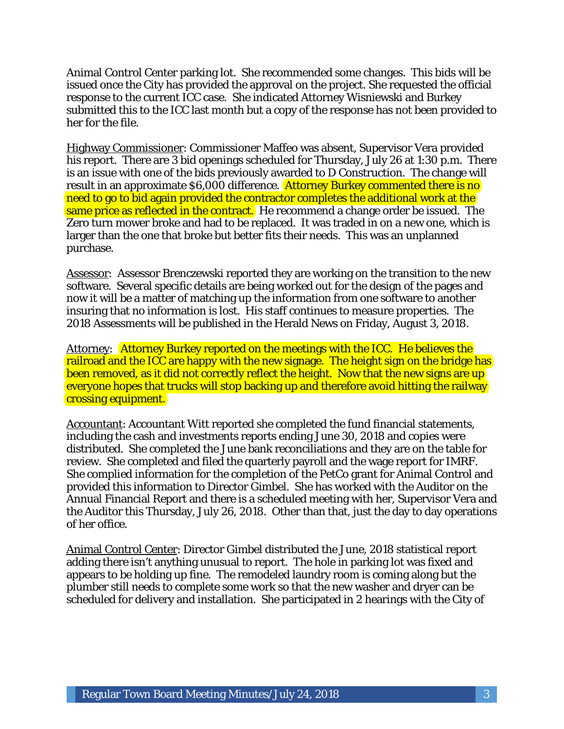Animal Control Center parking lot. She recommended some changes. This bids will be issued once the City has provided the approval on the project. She requested the official response to the current ICC case. She indicated Attorney Wisniewski and Burkey submitted this to the ICC last month but a copy of the response has not been provided to her for the file.

Highway Commissioner: Commissioner Maffeo was absent, Supervisor Vera provided his report. There are 3 bid openings scheduled for Thursday, July 26 at 1:30 p.m. There is an issue with one of the bids previously awarded to D Construction. The change will result in an approximate \$6,000 difference. Attorney Burkey commented there is no need to go to bid again provided the contractor completes the additional work at the same price as reflected in the contract. He recommend a change order be issued. The Zero turn mower broke and had to be replaced. It was traded in on a new one, which is larger than the one that broke but better fits their needs. This was an unplanned purchase.

Assessor: Assessor Brenczewski reported they are working on the transition to the new software. Several specific details are being worked out for the design of the pages and now it will be a matter of matching up the information from one software to another insuring that no information is lost. His staff continues to measure properties. The 2018 Assessments will be published in the Herald News on Friday, August 3, 2018.

Attorney: Attorney Burkey reported on the meetings with the ICC. He believes the railroad and the ICC are happy with the new signage. The height sign on the bridge has been removed, as it did not correctly reflect the height. Now that the new signs are up everyone hopes that trucks will stop backing up and therefore avoid hitting the railway crossing equipment.

Accountant: Accountant Witt reported she completed the fund financial statements, including the cash and investments reports ending June 30, 2018 and copies were distributed. She completed the June bank reconciliations and they are on the table for review. She completed and filed the quarterly payroll and the wage report for IMRF. She complied information for the completion of the PetCo grant for Animal Control and provided this information to Director Gimbel. She has worked with the Auditor on the Annual Financial Report and there is a scheduled meeting with her, Supervisor Vera and the Auditor this Thursday, July 26, 2018. Other than that, just the day to day operations of her office.

Animal Control Center: Director Gimbel distributed the June, 2018 statistical report adding there isn't anything unusual to report. The hole in parking lot was fixed and appears to be holding up fine. The remodeled laundry room is coming along but the plumber still needs to complete some work so that the new washer and dryer can be scheduled for delivery and installation. She participated in 2 hearings with the City of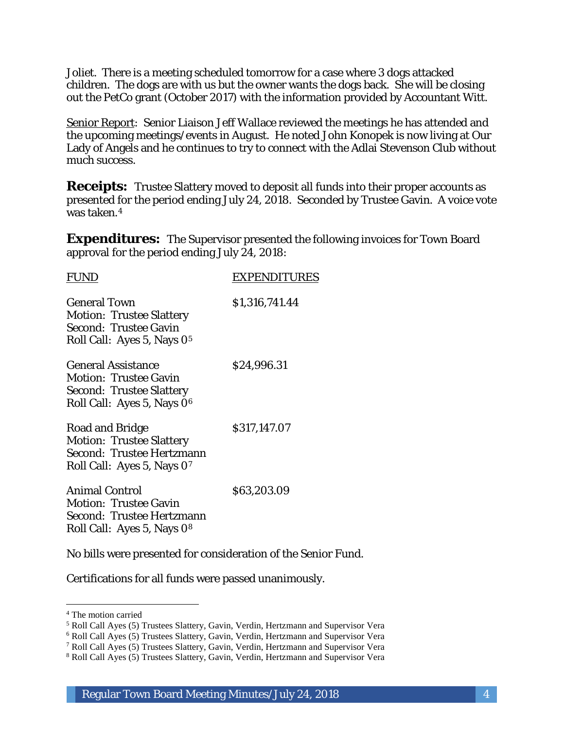Joliet. There is a meeting scheduled tomorrow for a case where 3 dogs attacked children. The dogs are with us but the owner wants the dogs back. She will be closing out the PetCo grant (October 2017) with the information provided by Accountant Witt.

Senior Report: Senior Liaison Jeff Wallace reviewed the meetings he has attended and the upcoming meetings/events in August. He noted John Konopek is now living at Our Lady of Angels and he continues to try to connect with the Adlai Stevenson Club without much success.

**Receipts:** Trustee Slattery moved to deposit all funds into their proper accounts as presented for the period ending July 24, 2018. Seconded by Trustee Gavin. A voice vote was taken.4

**Expenditures:** The Supervisor presented the following invoices for Town Board approval for the period ending July 24, 2018:

| <b>EXPENDITURES</b> |
|---------------------|
| \$1,316,741.44      |
| \$24,996.31         |
| \$317,147.07        |
| \$63,203.09         |
|                     |

No bills were presented for consideration of the Senior Fund.

Certifications for all funds were passed unanimously.

I

<sup>4</sup> The motion carried

<sup>5</sup> Roll Call Ayes (5) Trustees Slattery, Gavin, Verdin, Hertzmann and Supervisor Vera

<sup>6</sup> Roll Call Ayes (5) Trustees Slattery, Gavin, Verdin, Hertzmann and Supervisor Vera

<sup>7</sup> Roll Call Ayes (5) Trustees Slattery, Gavin, Verdin, Hertzmann and Supervisor Vera

<sup>8</sup> Roll Call Ayes (5) Trustees Slattery, Gavin, Verdin, Hertzmann and Supervisor Vera